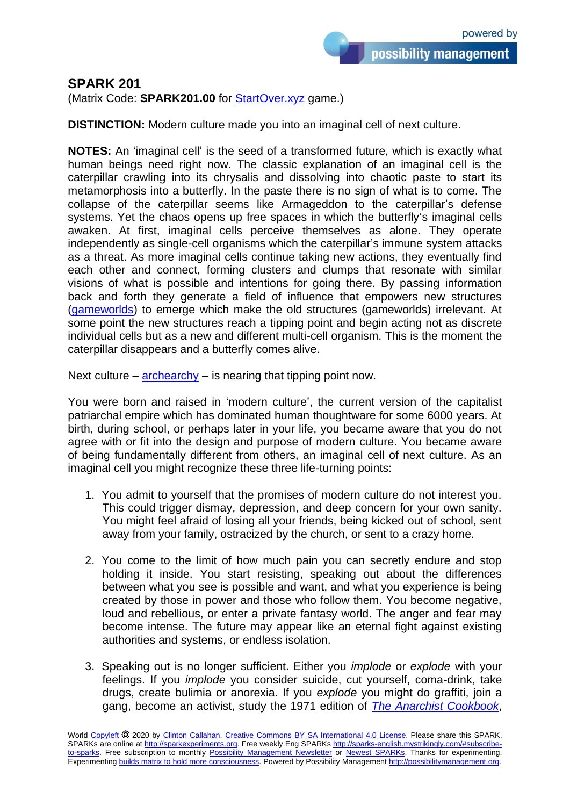## **SPARK 201**

(Matrix Code: **SPARK201.00** for [StartOver.xyz](http://startoverxyz.mystrikingly.com/) game.)

**DISTINCTION:** Modern culture made you into an imaginal cell of next culture.

**NOTES:** An 'imaginal cell' is the seed of a transformed future, which is exactly what human beings need right now. The classic explanation of an imaginal cell is the caterpillar crawling into its chrysalis and dissolving into chaotic paste to start its metamorphosis into a butterfly. In the paste there is no sign of what is to come. The collapse of the caterpillar seems like Armageddon to the caterpillar's defense systems. Yet the chaos opens up free spaces in which the butterfly's imaginal cells awaken. At first, imaginal cells perceive themselves as alone. They operate independently as single-cell organisms which the caterpillar's immune system attacks as a threat. As more imaginal cells continue taking new actions, they eventually find each other and connect, forming clusters and clumps that resonate with similar visions of what is possible and intentions for going there. By passing information back and forth they generate a field of influence that empowers new structures [\(gameworlds\)](http://gameworldbuilder.mystrikingly.com/) to emerge which make the old structures (gameworlds) irrelevant. At some point the new structures reach a tipping point and begin acting not as discrete individual cells but as a new and different multi-cell organism. This is the moment the caterpillar disappears and a butterfly comes alive.

Next culture –  $archearchy - is nearing that tipping point now.$  $archearchy - is nearing that tipping point now.$ 

You were born and raised in 'modern culture', the current version of the capitalist patriarchal empire which has dominated human thoughtware for some 6000 years. At birth, during school, or perhaps later in your life, you became aware that you do not agree with or fit into the design and purpose of modern culture. You became aware of being fundamentally different from others, an imaginal cell of next culture. As an imaginal cell you might recognize these three life-turning points:

- 1. You admit to yourself that the promises of modern culture do not interest you. This could trigger dismay, depression, and deep concern for your own sanity. You might feel afraid of losing all your friends, being kicked out of school, sent away from your family, ostracized by the church, or sent to a crazy home.
- 2. You come to the limit of how much pain you can secretly endure and stop holding it inside. You start resisting, speaking out about the differences between what you see is possible and want, and what you experience is being created by those in power and those who follow them. You become negative, loud and rebellious, or enter a private fantasy world. The anger and fear may become intense. The future may appear like an eternal fight against existing authorities and systems, or endless isolation.
- 3. Speaking out is no longer sufficient. Either you *implode* or *explode* with your feelings. If you *implode* you consider suicide, cut yourself, coma-drink, take drugs, create bulimia or anorexia. If you *explode* you might do graffiti, join a gang, become an activist, study the 1971 edition of *[The Anarchist Cookbook](https://www.amazon.com/Anarchist-Cookbook-William-Powell/dp/B019HFSM26/)*,